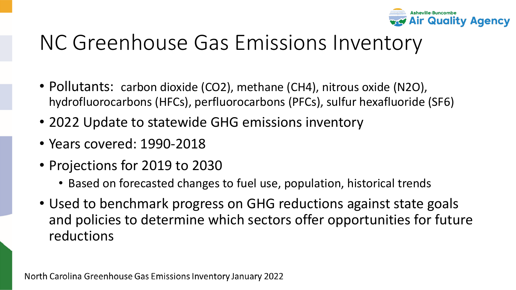

## NC Greenhouse Gas Emissions Inventory

- Pollutants: carbon dioxide (CO2), methane (CH4), nitrous oxide (N2O), hydrofluorocarbons (HFCs), perfluorocarbons (PFCs), sulfur hexafluoride (SF6)
- 2022 Update to statewide GHG emissions inventory
- Years covered: 1990-2018
- Projections for 2019 to 2030
	- Based on forecasted changes to fuel use, population, historical trends
- Used to benchmark progress on GHG reductions against state goals and policies to determine which sectors offer opportunities for future reductions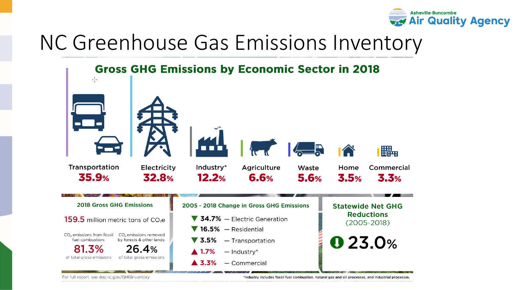

## NC Greenhouse Gas Emissions Inventory

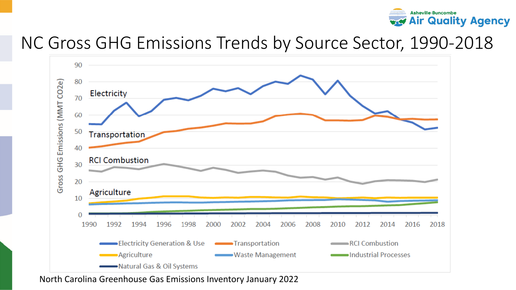

#### NC Gross GHG Emissions Trends by Source Sector, 1990-2018

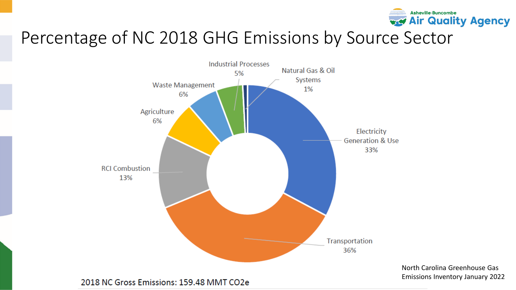

#### Percentage of NC 2018 GHG Emissions by Source Sector

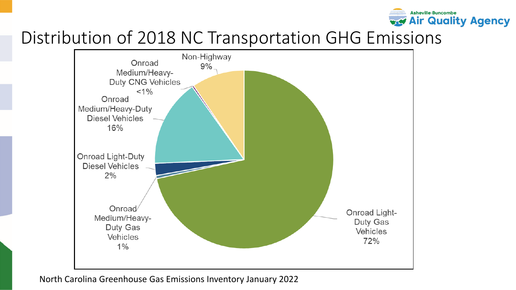

#### Distribution of 2018 NC Transportation GHG Emissions

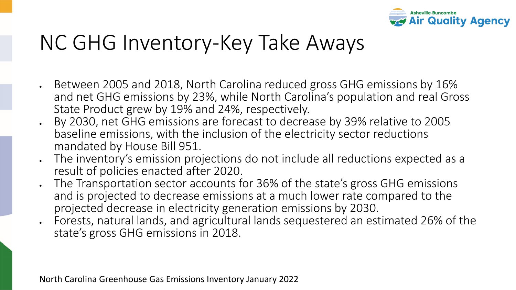

# NC GHG Inventory-Key Take Aways

- Between 2005 and 2018, North Carolina reduced gross GHG emissions by 16% and net GHG emissions by 23%, while North Carolina's population and real Gross State Product grew by 19% and 24%, respectively.
- By 2030, net GHG emissions are forecast to decrease by 39% relative to 2005 baseline emissions, with the inclusion of the electricity sector reductions mandated by House Bill 951.
- The inventory's emission projections do not include all reductions expected as a result of policies enacted after 2020.
- The Transportation sector accounts for 36% of the state's gross GHG emissions and is projected to decrease emissions at a much lower rate compared to the projected decrease in electricity generation emissions by 2030.
- Forests, natural lands, and agricultural lands sequestered an estimated 26% of the state's gross GHG emissions in 2018.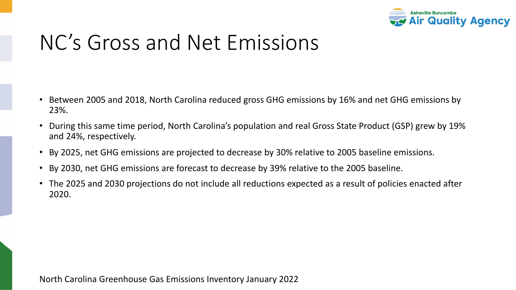

# NC's Gross and Net Emissions

- Between 2005 and 2018, North Carolina reduced gross GHG emissions by 16% and net GHG emissions by 23%.
- During this same time period, North Carolina's population and real Gross State Product (GSP) grew by 19% and 24%, respectively.
- By 2025, net GHG emissions are projected to decrease by 30% relative to 2005 baseline emissions.
- By 2030, net GHG emissions are forecast to decrease by 39% relative to the 2005 baseline.
- The 2025 and 2030 projections do not include all reductions expected as a result of policies enacted after 2020.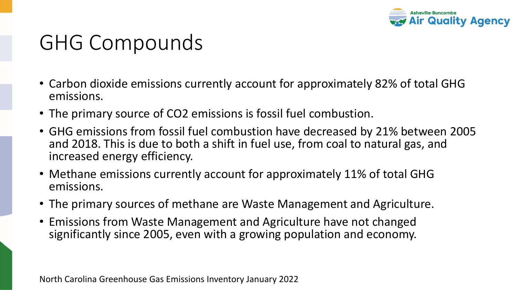

## GHG Compounds

- Carbon dioxide emissions currently account for approximately 82% of total GHG emissions.
- The primary source of CO2 emissions is fossil fuel combustion.
- GHG emissions from fossil fuel combustion have decreased by 21% between 2005 and 2018. This is due to both a shift in fuel use, from coal to natural gas, and increased energy efficiency.
- Methane emissions currently account for approximately 11% of total GHG emissions.
- The primary sources of methane are Waste Management and Agriculture.
- Emissions from Waste Management and Agriculture have not changed significantly since 2005, even with a growing population and economy.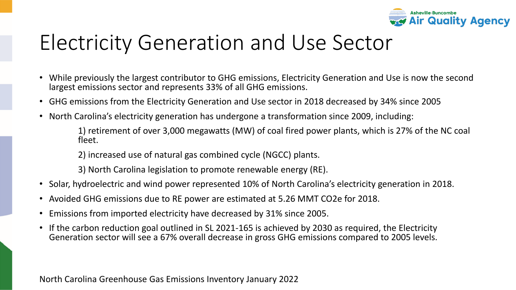

## Electricity Generation and Use Sector

- While previously the largest contributor to GHG emissions, Electricity Generation and Use is now the second largest emissions sector and represents 33% of all GHG emissions.
- GHG emissions from the Electricity Generation and Use sector in 2018 decreased by 34% since 2005
- North Carolina's electricity generation has undergone a transformation since 2009, including:

1) retirement of over 3,000 megawatts (MW) of coal fired power plants, which is 27% of the NC coal fleet.

- 2) increased use of natural gas combined cycle (NGCC) plants.
- 3) North Carolina legislation to promote renewable energy (RE).
- Solar, hydroelectric and wind power represented 10% of North Carolina's electricity generation in 2018.
- Avoided GHG emissions due to RE power are estimated at 5.26 MMT CO2e for 2018.
- Emissions from imported electricity have decreased by 31% since 2005.
- If the carbon reduction goal outlined in SL 2021-165 is achieved by 2030 as required, the Electricity Generation sector will see a 67% overall decrease in gross GHG emissions compared to 2005 levels.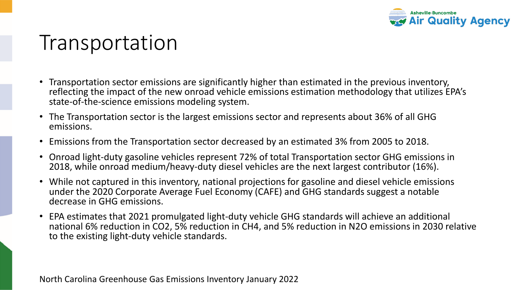

## Transportation

- Transportation sector emissions are significantly higher than estimated in the previous inventory, reflecting the impact of the new onroad vehicle emissions estimation methodology that utilizes EPA's state-of-the-science emissions modeling system.
- The Transportation sector is the largest emissions sector and represents about 36% of all GHG emissions.
- Emissions from the Transportation sector decreased by an estimated 3% from 2005 to 2018.
- Onroad light-duty gasoline vehicles represent 72% of total Transportation sector GHG emissions in 2018, while onroad medium/heavy-duty diesel vehicles are the next largest contributor (16%).
- While not captured in this inventory, national projections for gasoline and diesel vehicle emissions under the 2020 Corporate Average Fuel Economy (CAFE) and GHG standards suggest a notable decrease in GHG emissions.
- EPA estimates that 2021 promulgated light-duty vehicle GHG standards will achieve an additional national 6% reduction in CO2, 5% reduction in CH4, and 5% reduction in N2O emissions in 2030 relative to the existing light-duty vehicle standards.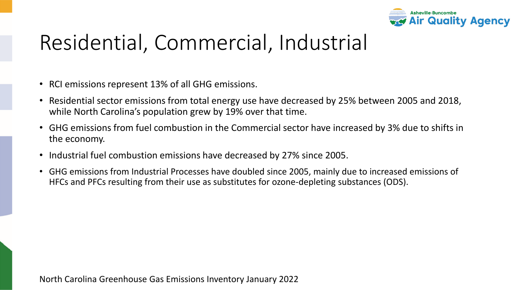

# Residential, Commercial, Industrial

- RCI emissions represent 13% of all GHG emissions.
- Residential sector emissions from total energy use have decreased by 25% between 2005 and 2018, while North Carolina's population grew by 19% over that time.
- GHG emissions from fuel combustion in the Commercial sector have increased by 3% due to shifts in the economy.
- Industrial fuel combustion emissions have decreased by 27% since 2005.
- GHG emissions from Industrial Processes have doubled since 2005, mainly due to increased emissions of HFCs and PFCs resulting from their use as substitutes for ozone-depleting substances (ODS).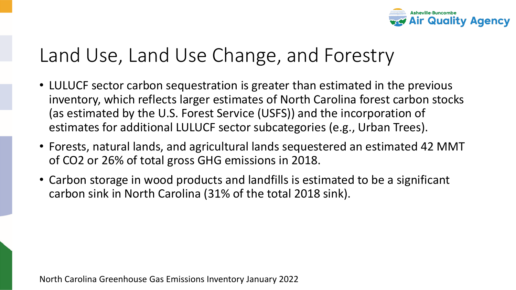

### Land Use, Land Use Change, and Forestry

- LULUCF sector carbon sequestration is greater than estimated in the previous inventory, which reflects larger estimates of North Carolina forest carbon stocks (as estimated by the U.S. Forest Service (USFS)) and the incorporation of estimates for additional LULUCF sector subcategories (e.g., Urban Trees).
- Forests, natural lands, and agricultural lands sequestered an estimated 42 MMT of CO2 or 26% of total gross GHG emissions in 2018.
- Carbon storage in wood products and landfills is estimated to be a significant carbon sink in North Carolina (31% of the total 2018 sink).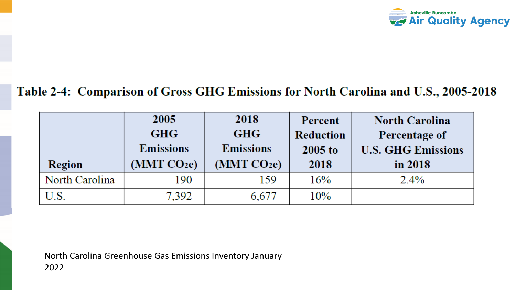

#### Table 2-4: Comparison of Gross GHG Emissions for North Carolina and U.S., 2005-2018

|                | 2005                    | 2018                    | Percent          | <b>North Carolina</b>     |
|----------------|-------------------------|-------------------------|------------------|---------------------------|
|                | <b>GHG</b>              | <b>GHG</b>              | <b>Reduction</b> | Percentage of             |
|                | <b>Emissions</b>        | <b>Emissions</b>        | 2005 to          | <b>U.S. GHG Emissions</b> |
| Region         | (MMT CO <sub>2e</sub> ) | (MMT CO <sub>2e</sub> ) | 2018             | in 2018                   |
| North Carolina | 190                     | 159                     | 16%              | $2.4\%$                   |
| U.S.           | 7,392                   | 6,677                   | $10\%$           |                           |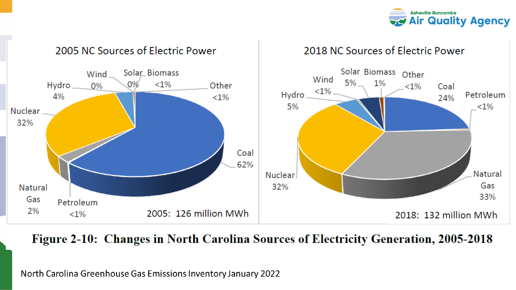



#### Figure 2-10: Changes in North Carolina Sources of Electricity Generation, 2005-2018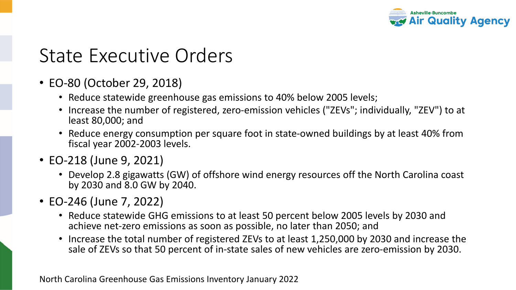

### State Executive Orders

- EO-80 (October 29, 2018)
	- Reduce statewide greenhouse gas emissions to 40% below 2005 levels;
	- Increase the number of registered, zero-emission vehicles ("ZEVs"; individually, "ZEV") to at least 80,000; and
	- Reduce energy consumption per square foot in state-owned buildings by at least 40% from fiscal year 2002-2003 levels.
- EO-218 (June 9, 2021)
	- Develop 2.8 gigawatts (GW) of offshore wind energy resources off the North Carolina coast by 2030 and 8.0 GW by 2040.
- EO-246 (June 7, 2022)
	- Reduce statewide GHG emissions to at least 50 percent below 2005 levels by 2030 and achieve net-zero emissions as soon as possible, no later than 2050; and
	- Increase the total number of registered ZEVs to at least 1,250,000 by 2030 and increase the sale of ZEVs so that 50 percent of in-state sales of new vehicles are zero-emission by 2030.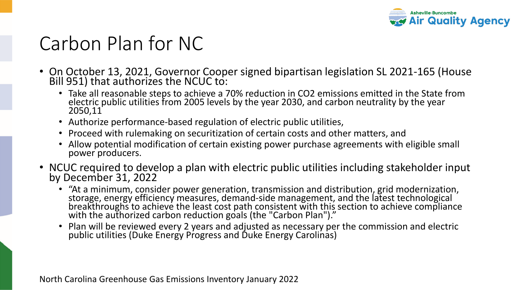

## Carbon Plan for NC

- On October 13, 2021, Governor Cooper signed bipartisan legislation SL 2021-165 (House Bill 951) that authorizes the NCUC to:
	- Take all reasonable steps to achieve a 70% reduction in CO2 emissions emitted in the State from electric public utilities from 2005 levels by the year 2030, and carbon neutrality by the year 2050,11
	- Authorize performance-based regulation of electric public utilities,
	- Proceed with rulemaking on securitization of certain costs and other matters, and
	- Allow potential modification of certain existing power purchase agreements with eligible small power producers.
- NCUC required to develop a plan with electric public utilities including stakeholder input by December 31, 2022
	- "At a minimum, consider power generation, transmission and distribution, grid modernization, storage, energy efficiency measures, demand-side management, and the latest technological breakthroughs to achieve the least cost path consistent with this section to achieve compliance with the authorized carbon reduction goals (the "Carbon Plan")."
	- Plan will be reviewed every 2 years and adjusted as necessary per the commission and electric public utilities (Duke Energy Progress and Duke Energy Carolinas)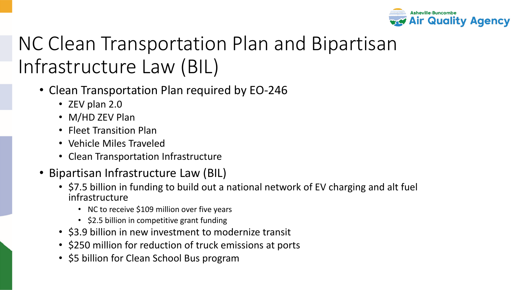

# NC Clean Transportation Plan and Bipartisan Infrastructure Law (BIL)

- Clean Transportation Plan required by EO-246
	- ZEV plan 2.0
	- M/HD ZEV Plan
	- Fleet Transition Plan
	- Vehicle Miles Traveled
	- Clean Transportation Infrastructure
- Bipartisan Infrastructure Law (BIL)
	- \$7.5 billion in funding to build out a national network of EV charging and alt fuel infrastructure
		- NC to receive \$109 million over five years
		- \$2.5 billion in competitive grant funding
	- \$3.9 billion in new investment to modernize transit
	- \$250 million for reduction of truck emissions at ports
	- \$5 billion for Clean School Bus program